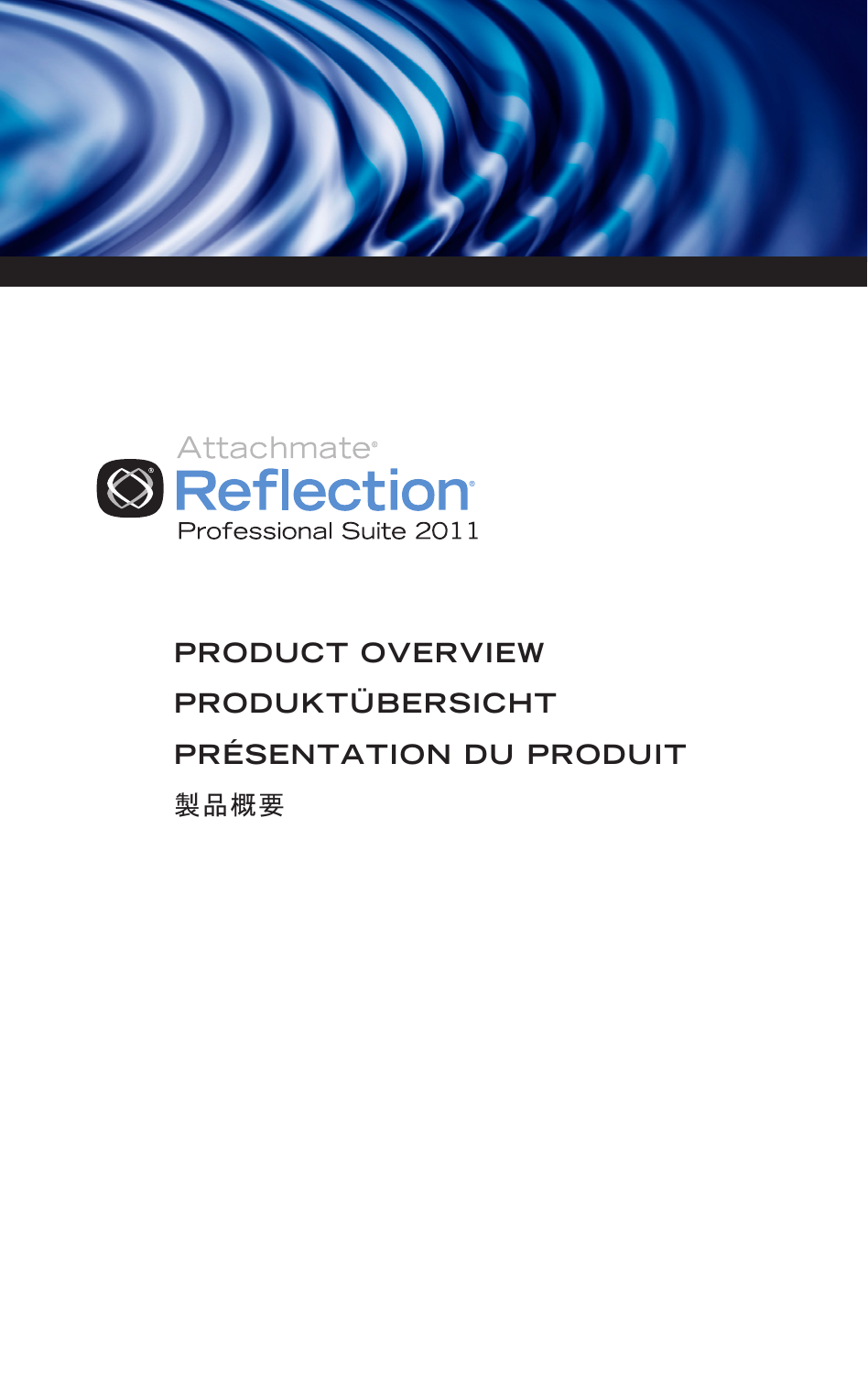



# **PRODUCT OVERVIEW PRODUKTÜBERSICHT PRÉSENTATION DU PRODUIT** 製品概要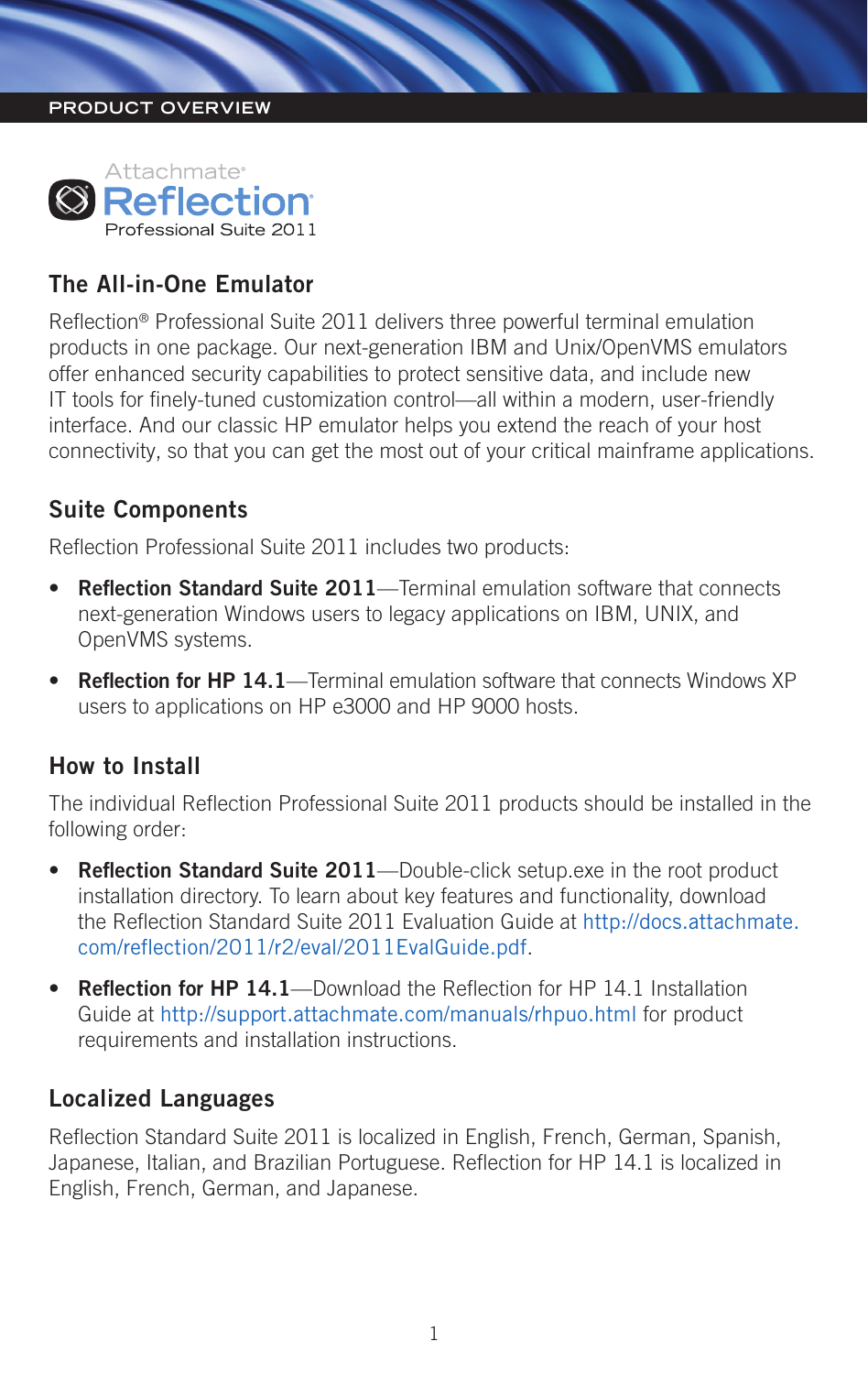#### **PRODUCT OVERVIEW**



## **The All-in-One Emulator**

Reflection® Professional Suite 2011 delivers three powerful terminal emulation products in one package. Our next-generation IBM and Unix/OpenVMS emulators offer enhanced security capabilities to protect sensitive data, and include new IT tools for finely-tuned customization control—all within a modern, user-friendly interface. And our classic HP emulator helps you extend the reach of your host connectivity, so that you can get the most out of your critical mainframe applications.

#### **Suite Components**

Reflection Professional Suite 2011 includes two products:

- **Reflection Standard Suite 2011**—Terminal emulation software that connects next-generation Windows users to legacy applications on IBM, UNIX, and OpenVMS systems.
- **Reflection for HP 14.1**—Terminal emulation software that connects Windows XP users to applications on HP e3000 and HP 9000 hosts.

#### **How to Install**

The individual Reflection Professional Suite 2011 products should be installed in the following order:

- • **Reflection Standard Suite 2011**—Double-click setup.exe in the root product installation directory. To learn about key features and functionality, download the Reflection Standard Suite 2011 Evaluation Guide at [http://docs.attachmate.](http://docs.attachmate.com/reflection/2011/r2/eval/2011EvalGuide.pdf) [com/reflection/2011/r2/eval/2011EvalGuide.pdf](http://docs.attachmate.com/reflection/2011/r2/eval/2011EvalGuide.pdf).
- **Reflection for HP 14.1**—Download the Reflection for HP 14.1 Installation Guide at http://support.attachmate.com/manuals/rhpuo.html for product requirements and installation instructions.

#### **Localized Languages**

Reflection Standard Suite 2011 is localized in English, French, German, Spanish, Japanese, Italian, and Brazilian Portuguese. Reflection for HP 14.1 is localized in English, French, German, and Japanese.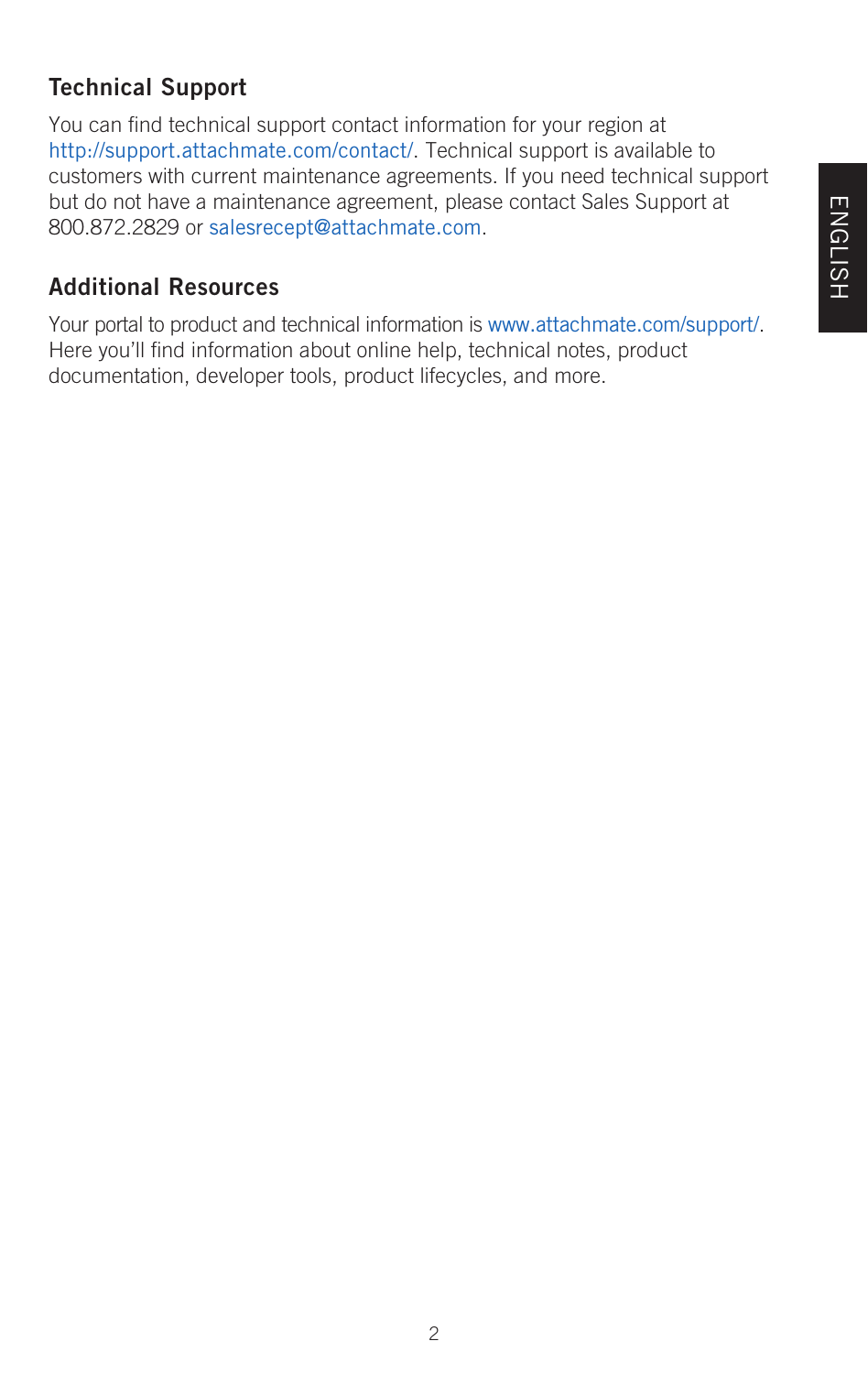# **Technical Support**

You can find technical support contact information for your region at http://support.attachmate.com/contact/. Technical support is available to customers with current maintenance agreements. If you need technical support but do not have a maintenance agreement, please contact Sales Support at 800.872.2829 or salesrecept@attachmate.com.

# **Additional Resources**

Your portal to product and technical information is www.attachmate.com/support/. Here you'll find information about online help, technical notes, product documentation, developer tools, product lifecycles, and more.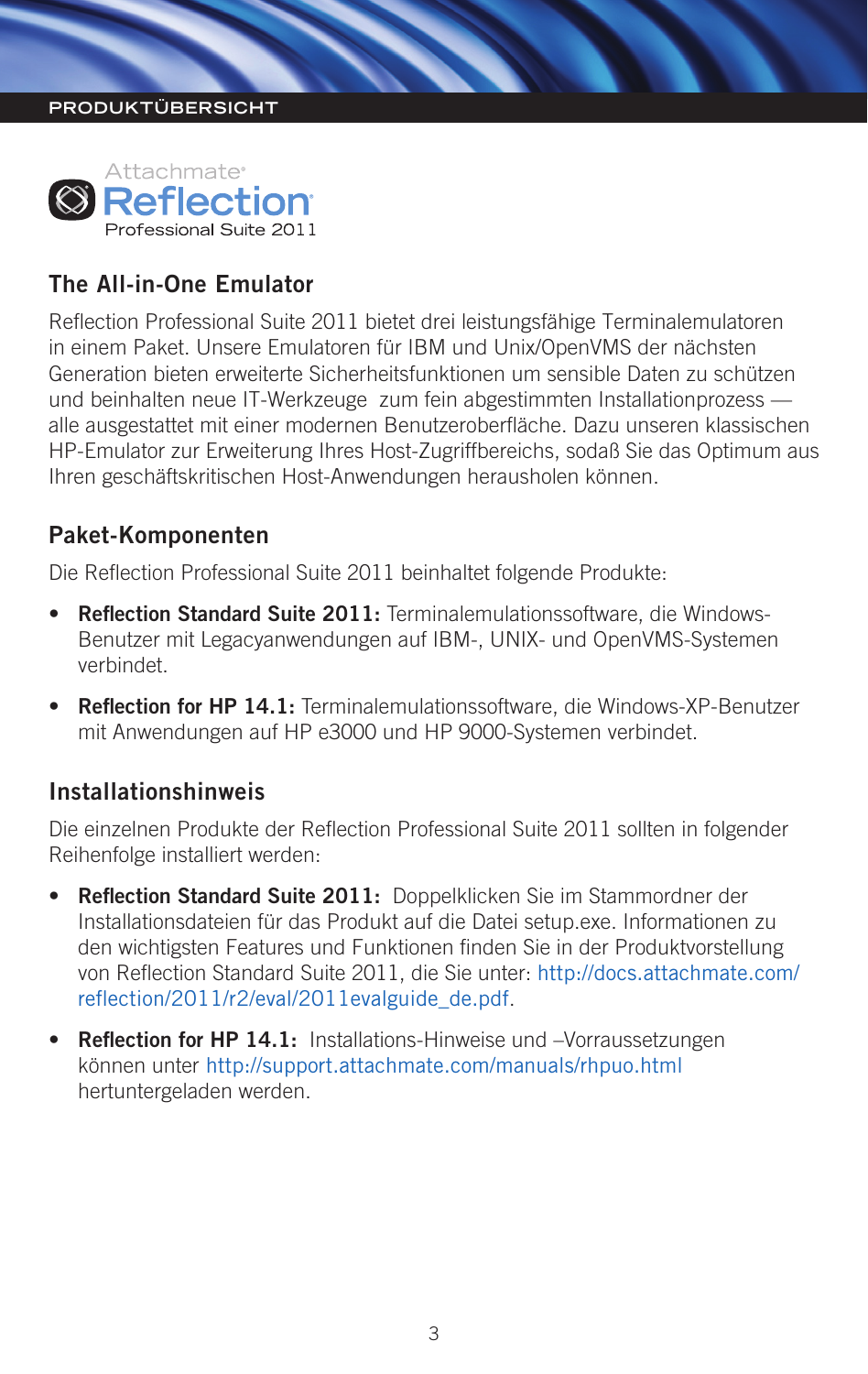#### **PRODUKTÜBERSICHT**



### **The All-in-One Emulator**

Reflection Professional Suite 2011 bietet drei leistungsfähige Terminalemulatoren in einem Paket. Unsere Emulatoren für IBM und Unix/OpenVMS der nächsten Generation bieten erweiterte Sicherheitsfunktionen um sensible Daten zu schützen und beinhalten neue IT-Werkzeuge zum fein abgestimmten Installationprozess alle ausgestattet mit einer modernen Benutzeroberfläche. Dazu unseren klassischen HP-Emulator zur Erweiterung Ihres Host-Zugriffbereichs, sodaß Sie das Optimum aus Ihren geschäftskritischen Host-Anwendungen herausholen können.

#### **Paket-Komponenten**

Die Reflection Professional Suite 2011 beinhaltet folgende Produkte:

- • **Reflection Standard Suite 2011:** Terminalemulationssoftware, die Windows-Benutzer mit Legacyanwendungen auf IBM-, UNIX- und OpenVMS-Systemen verbindet.
- **Reflection for HP 14.1:** Terminalemulationssoftware, die Windows-XP-Benutzer mit Anwendungen auf HP e3000 und HP 9000-Systemen verbindet.

#### **Installationshinweis**

Die einzelnen Produkte der Reflection Professional Suite 2011 sollten in folgender Reihenfolge installiert werden:

- • **Reflection Standard Suite 2011:** Doppelklicken Sie im Stammordner der Installationsdateien für das Produkt auf die Datei setup.exe. Informationen zu den wichtigsten Features und Funktionen finden Sie in der Produktvorstellung von Reflection Standard Suite 2011, die Sie unter: [http://docs.attachmate.com/](http://docs.attachmate.com/reflection/2011/r2/eval/2011evalguide_de.pdf) [reflection/2011/r2/eval/2011evalguide\\_de.pdf](http://docs.attachmate.com/reflection/2011/r2/eval/2011evalguide_de.pdf).
- **Reflection for HP 14.1:** Installations-Hinweise und –Vorraussetzungen können unter http://support.attachmate.com/manuals/rhpuo.html hertuntergeladen werden.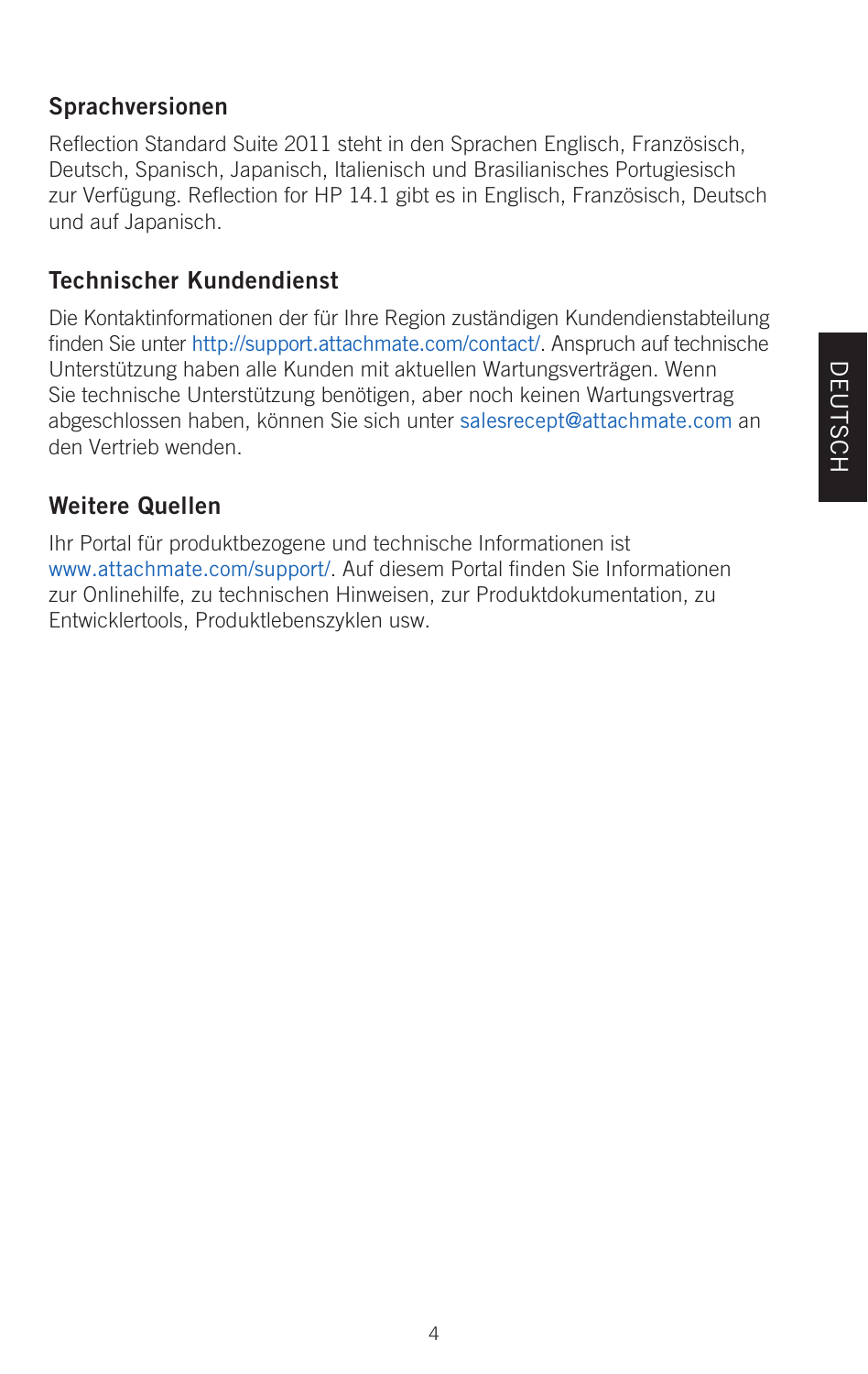# **DEUTSCH** DEUTSCH

# **Sprachversionen**

Reflection Standard Suite 2011 steht in den Sprachen Englisch, Französisch, Deutsch, Spanisch, Japanisch, Italienisch und Brasilianisches Portugiesisch zur Verfügung. Reflection for HP 14.1 gibt es in Englisch, Französisch, Deutsch und auf Japanisch.

# **Technischer Kundendienst**

Die Kontaktinformationen der für Ihre Region zuständigen Kundendienstabteilung finden Sie unter http://support.attachmate.com/contact/. Anspruch auf technische Unterstützung haben alle Kunden mit aktuellen Wartungsverträgen. Wenn Sie technische Unterstützung benötigen, aber noch keinen Wartungsvertrag abgeschlossen haben, können Sie sich unter salesrecept@attachmate.com an den Vertrieb wenden.

# **Weitere Quellen**

Ihr Portal für produktbezogene und technische Informationen ist www.attachmate.com/support/. Auf diesem Portal finden Sie Informationen zur Onlinehilfe, zu technischen Hinweisen, zur Produktdokumentation, zu Entwicklertools, Produktlebenszyklen usw.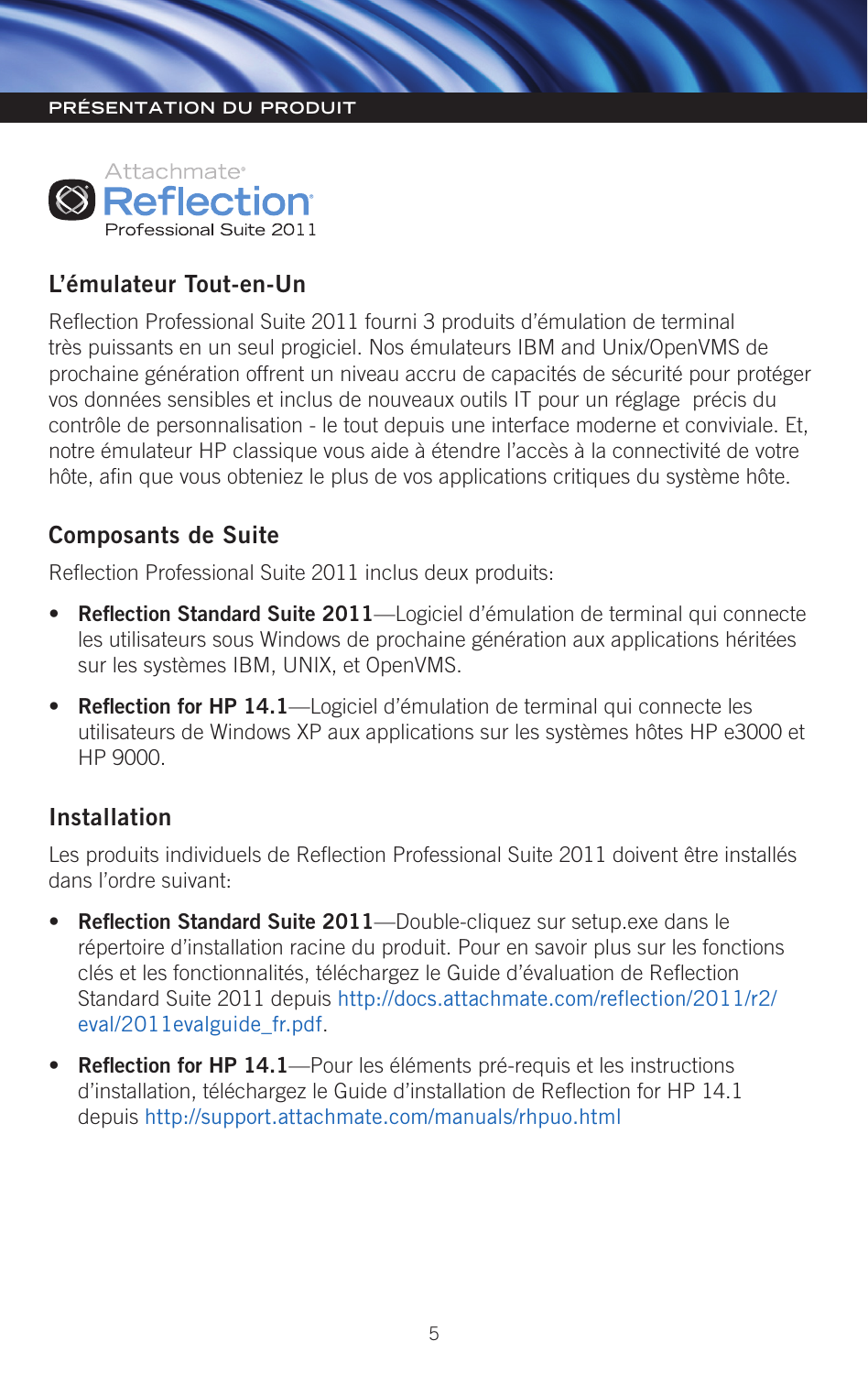#### **PRÉSENTATION DU PRODUIT**



# **L'émulateur Tout-en-Un**

Reflection Professional Suite 2011 fourni 3 produits d'émulation de terminal très puissants en un seul progiciel. Nos émulateurs IBM and Unix/OpenVMS de prochaine génération offrent un niveau accru de capacités de sécurité pour protéger vos données sensibles et inclus de nouveaux outils IT pour un réglage précis du contrôle de personnalisation - le tout depuis une interface moderne et conviviale. Et notre émulateur HP classique vous aide à étendre l'accès à la connectivité de votre hôte, afin que vous obteniez le plus de vos applications critiques du système hôte.

#### **Composants de Suite**

Reflection Professional Suite 2011 inclus deux produits:

- • **Reflection Standard Suite 2011**—Logiciel d'émulation de terminal qui connecte les utilisateurs sous Windows de prochaine génération aux applications héritées sur les systèmes IBM, UNIX, et OpenVMS.
- • **Reflection for HP 14.1**—Logiciel d'émulation de terminal qui connecte les utilisateurs de Windows XP aux applications sur les systèmes hôtes HP e3000 et HP 9000.

#### **Installation**

Les produits individuels de Reflection Professional Suite 2011 doivent être installés dans l'ordre suivant:

- **Reflection Standard Suite 2011**—Double-cliquez sur setup.exe dans le répertoire d'installation racine du produit. Pour en savoir plus sur les fonctions clés et les fonctionnalités, téléchargez le Guide d'évaluation de Reflection Standard Suite 2011 depuis [http://docs.attachmate.com/reflection/2011/r2/](http://docs.attachmate.com/reflection/2011/r2/eval/2011evalguide_fr.pdf) [eval/2011evalguide\\_fr.pdf](http://docs.attachmate.com/reflection/2011/r2/eval/2011evalguide_fr.pdf).
- **Reflection for HP 14.1**—Pour les éléments pré-requis et les instructions d'installation, téléchargez le Guide d'installation de Reflection for HP 14.1 depuis http://support.attachmate.com/manuals/rhpuo.html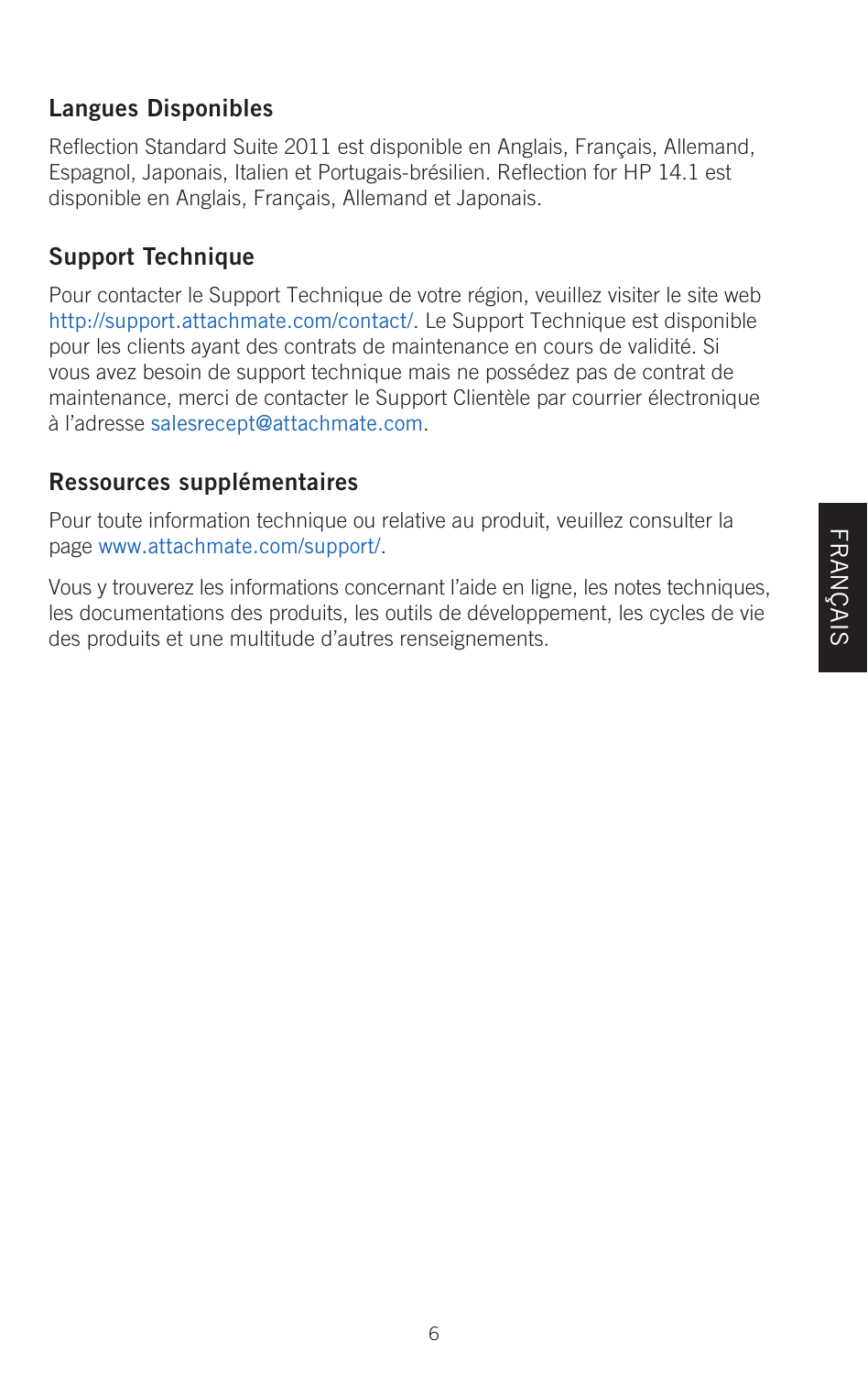# **Langues Disponibles**

Reflection Standard Suite 2011 est disponible en Anglais, Français, Allemand, Espagnol, Japonais, Italien et Portugais-brésilien. Reflection for HP 14.1 est disponible en Anglais, Français, Allemand et Japonais.

# **Support Technique**

Pour contacter le Support Technique de votre région, veuillez visiter le site web http://support.attachmate.com/contact/. Le Support Technique est disponible pour les clients ayant des contrats de maintenance en cours de validité. Si vous avez besoin de support technique mais ne possédez pas de contrat de maintenance, merci de contacter le Support Clientèle par courrier électronique à l'adresse salesrecept@attachmate.com.

# **Ressources supplémentaires**

Pour toute information technique ou relative au produit, veuillez consulter la page www.attachmate.com/support/.

Vous y trouverez les informations concernant l'aide en ligne, les notes techniques, les documentations des produits, les outils de développement, les cycles de vie des produits et une multitude d'autres renseignements.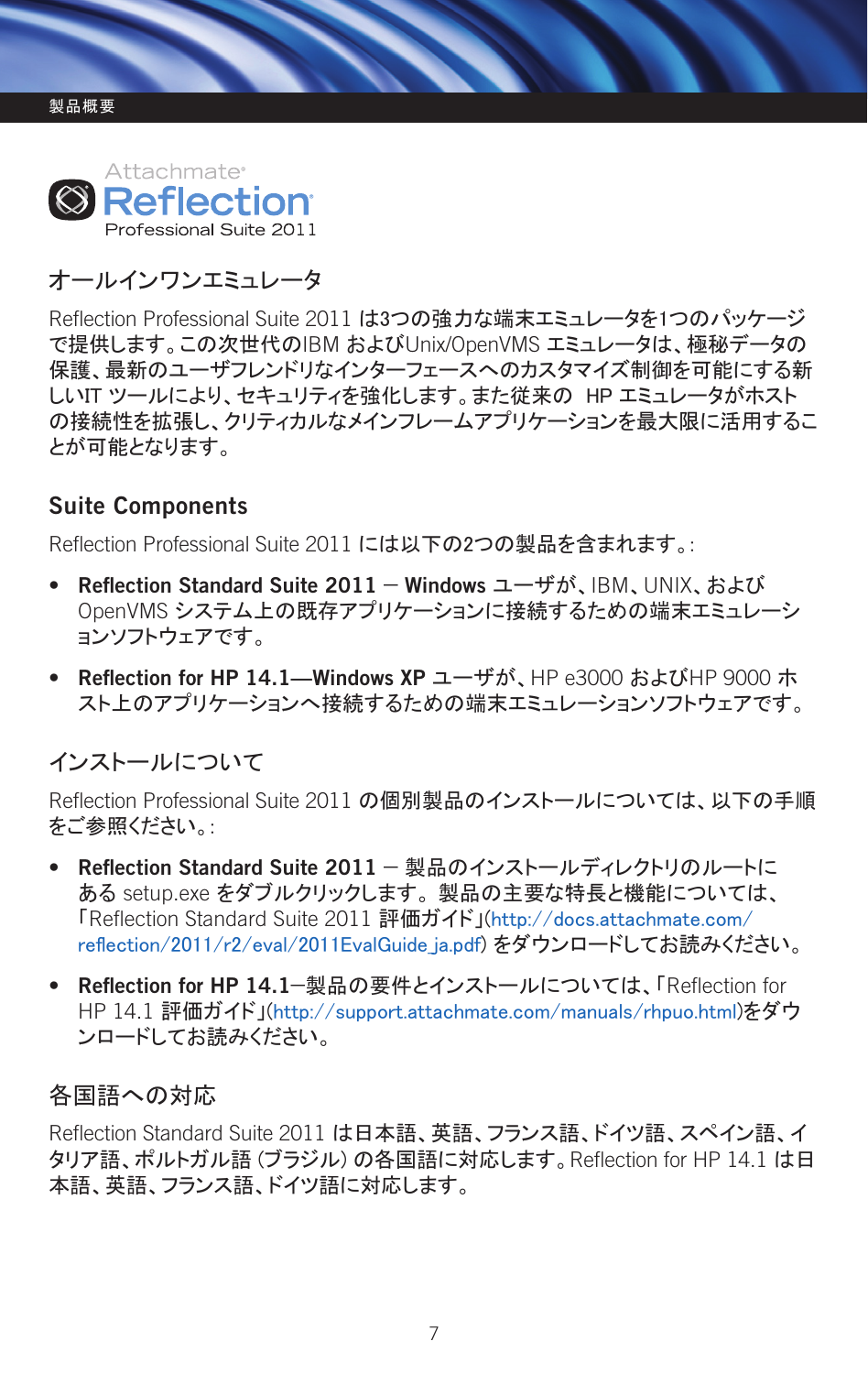

# オールインワンエミュレータ

Reflection Professional Suite 2011 は3つの強力な端末エミュレータを1つのパッケージ で提供します。この次世代のIBM およびUnix/OpenVMS エミュレータは、極秘データの 保護、最新のユーザフレンドリなインターフェースへのカスタマイズ制御を可能にする新 しいIT ツールにより、セキュリティを強化します。また従来の HP エミュレータがホスト の接続性を拡張し、クリティカルなメインフレームアプリケーションを最大限に活用するこ とが可能となります。

# **Suite Components**

Reflection Professional Suite 2011 には以下の2つの製品を含まれます。:

- **Reflection Standard Suite 2011 Windows** ユーザが、IBM、UNIX、および OpenVMS システム上の既存アプリケーションに接続するための端末エミュレーシ ョンソフトウェアです。
- **Reflection for HP 14.1—Windows XP** ユーザが、HP e3000 およびHP 9000 ホ スト上のアプリケーションへ接続するための端末エミュレーションソフトウェアです。

# インストールについて

Reflection Professional Suite 2011 の個別製品のインストールについては、以下の手順 をご参照ください。:

- **Reflection Standard Suite 2011** 製品のインストールディレクトリのルートに ある setup.exe をダブルクリックします。 製品の主要な特長と機能については、 「Reflection Standard Suite 2011 評価ガイド」(http://docs.attachmate.com/ reflection/2011/r2/eval/2011EvalGuide\_ja.pdf) をダウンロードしてお読みください。
- **Reflection for HP 14.1**—製品の要件とインストールについては、「Reflection for HP 14.1 評価ガイド」(http://support.attachmate.com/manuals/rhpuo.html)をダウ ンロードしてお読みください。

#### 各国語への対応

Reflection Standard Suite 2011 は日本語、英語、フランス語、ドイツ語、スペイン語、イ タリア語、ポルトガル語 (ブラジル) の各国語に対応します。Reflection for HP 14.1 は日 本語、英語、フランス語、ドイツ語に対応します。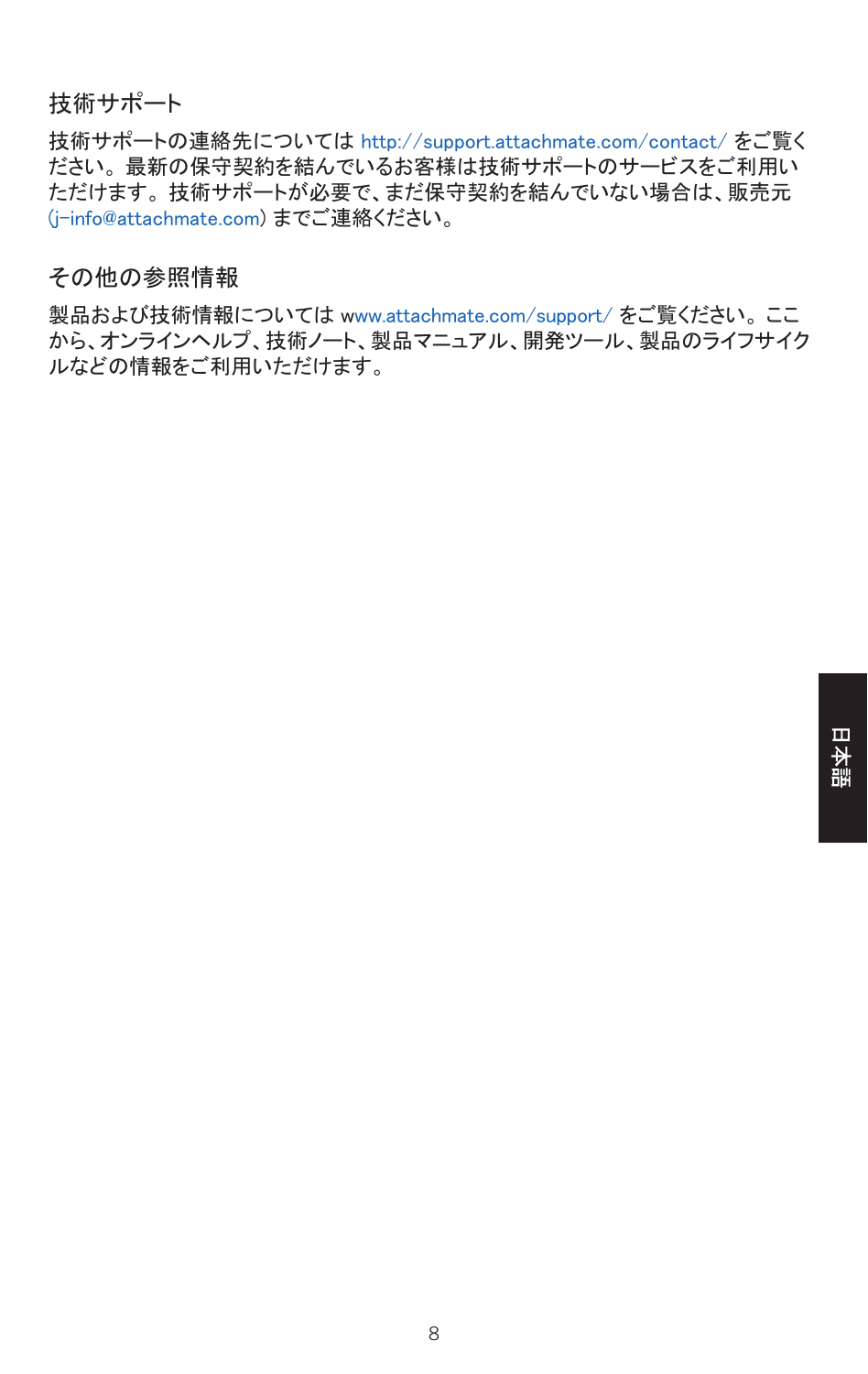#### 技術サポート

技術サポートの連絡先については http://support.attachmate.com/contact/ をご覧く ださい。 最新の保守契約を結んでいるお客様は技術サポートのサービスをご利用い ただけます。 技術サポートが必要で、まだ保守契約を結んでいない場合は、販売元 (j-info@attachmate.com) までご連絡ください。

#### その他の参照情報

製品および技術情報については www.attachmate.com/support/ をご覧ください。 ここ から、オンラインヘルプ、技術ノート、製品マニュアル、開発ツール、製品のライフサイク ルなどの情報をご利用いただけます。